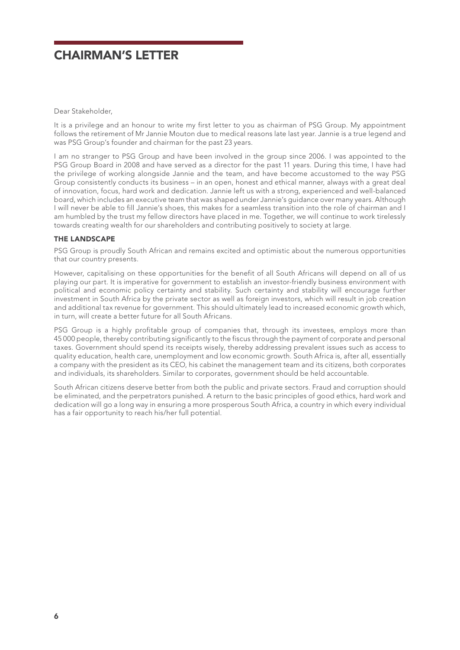# CHAIRMAN'S LETTER

Dear Stakeholder,

It is a privilege and an honour to write my first letter to you as chairman of PSG Group. My appointment follows the retirement of Mr Jannie Mouton due to medical reasons late last year. Jannie is a true legend and was PSG Group's founder and chairman for the past 23 years.

I am no stranger to PSG Group and have been involved in the group since 2006. I was appointed to the PSG Group Board in 2008 and have served as a director for the past 11 years. During this time, I have had the privilege of working alongside Jannie and the team, and have become accustomed to the way PSG Group consistently conducts its business – in an open, honest and ethical manner, always with a great deal of innovation, focus, hard work and dedication. Jannie left us with a strong, experienced and well-balanced board, which includes an executive team that was shaped under Jannie's guidance over many years. Although I will never be able to fill Jannie's shoes, this makes for a seamless transition into the role of chairman and I am humbled by the trust my fellow directors have placed in me. Together, we will continue to work tirelessly towards creating wealth for our shareholders and contributing positively to society at large.

## THE LANDSCAPE

PSG Group is proudly South African and remains excited and optimistic about the numerous opportunities that our country presents.

However, capitalising on these opportunities for the benefit of all South Africans will depend on all of us playing our part. It is imperative for government to establish an investor-friendly business environment with political and economic policy certainty and stability. Such certainty and stability will encourage further investment in South Africa by the private sector as well as foreign investors, which will result in job creation and additional tax revenue for government. This should ultimately lead to increased economic growth which, in turn, will create a better future for all South Africans.

PSG Group is a highly profitable group of companies that, through its investees, employs more than 45 000 people, thereby contributing significantly to the fiscus through the payment of corporate and personal taxes. Government should spend its receipts wisely, thereby addressing prevalent issues such as access to quality education, health care, unemployment and low economic growth. South Africa is, after all, essentially a company with the president as its CEO, his cabinet the management team and its citizens, both corporates and individuals, its shareholders. Similar to corporates, government should be held accountable.

South African citizens deserve better from both the public and private sectors. Fraud and corruption should be eliminated, and the perpetrators punished. A return to the basic principles of good ethics, hard work and dedication will go a long way in ensuring a more prosperous South Africa, a country in which every individual has a fair opportunity to reach his/her full potential.